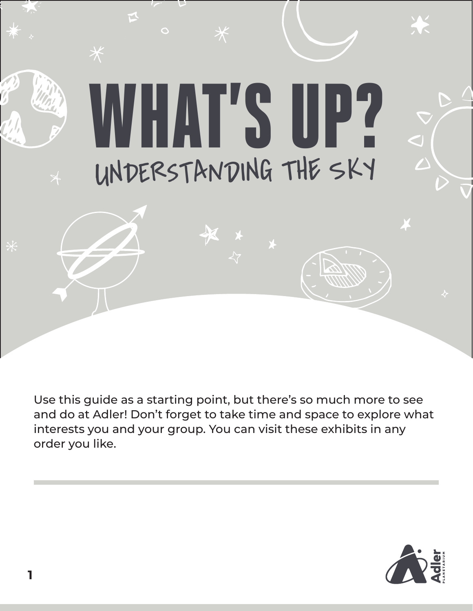

Use this guide as a starting point, but there's so much more to see and do at Adler! Don't forget to take time and space to explore what interests you and your group. You can visit these exhibits in any order you like.

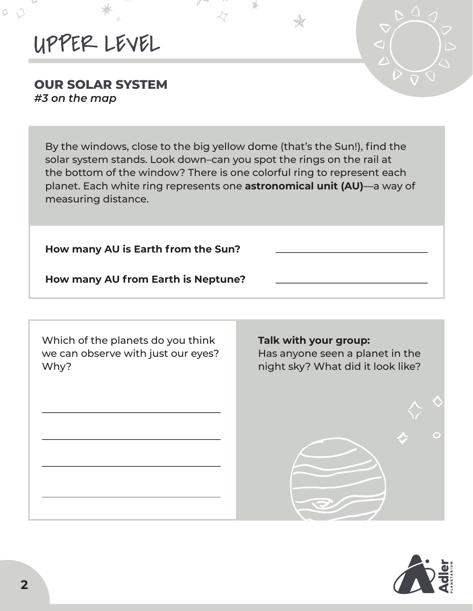# UPPER LEVEL

D

#### **OUR SOLAR SYSTEM**  *#3 on the map*

By the windows, close to the big yellow dome (that's the Sun!), find the solar system stands. Look down–can you spot the rings on the rail at the bottom of the window? There is one colorful ring to represent each planet. Each white ring represents one **astronomical unit (AU)**—a way of measuring distance.

Y.

**How many AU is Earth from the Sun?** 

**How many AU from Earth is Neptune?** 

Which of the planets do you think we can observe with just our eyes? Why?

#### **Talk with your group:**

Has anyone seen a planet in the night sky? What did it look like?



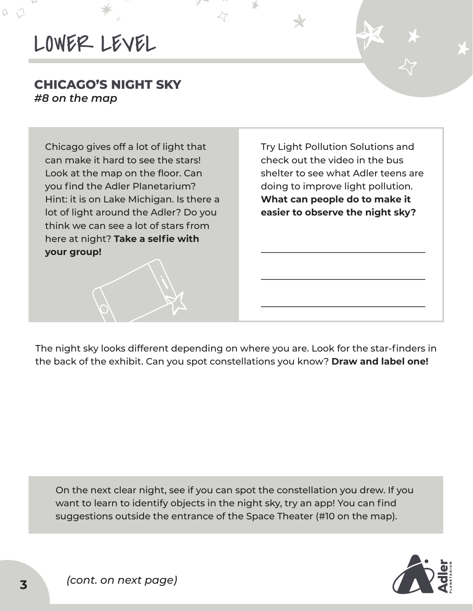D

#### **CHICAGO'S NIGHT SKY** *#8 on the map*

Chicago gives off a lot of light that can make it hard to see the stars! Look at the map on the floor. Can you find the Adler Planetarium? Hint: it is on Lake Michigan. Is there a lot of light around the Adler? Do you think we can see a lot of stars from here at night? **Take a selfie with your group!** 

Try Light Pollution Solutions and check out the video in the bus shelter to see what Adler teens are doing to improve light pollution. **What can people do to make it easier to observe the night sky?** 

The night sky looks different depending on where you are. Look for the star-finders in the back of the exhibit. Can you spot constellations you know? **Draw and label one!**

On the next clear night, see if you can spot the constellation you drew. If you want to learn to identify objects in the night sky, try an app! You can find suggestions outside the entrance of the Space Theater (#10 on the map).

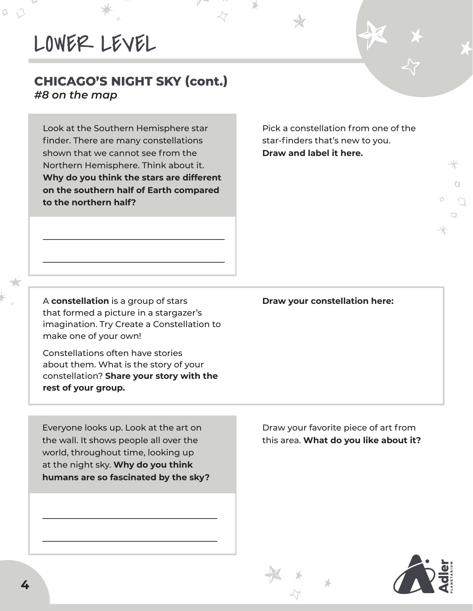$\Box$ 

#### **CHICAGO'S NIGHT SKY (cont.)** *#8 on the map*

Look at the Southern Hemisphere star finder. There are many constellations shown that we cannot see from the Northern Hemisphere. Think about it. **Why do you think the stars are different on the southern half of Earth compared to the northern half?** 

Pick a constellation from one of the star-finders that's new to you. **Draw and label it here.** 

Y.

A **constellation** is a group of stars **Draw your constellation here:** that formed a picture in a stargazer's imagination. Try Create a Constellation to make one of your own!

Constellations often have stories about them. What is the story of your constellation? **Share your story with the rest of your group.**

Everyone looks up. Look at the art on the wall. It shows people all over the world, throughout time, looking up at the night sky. **Why do you think humans are so fascinated by the sky?** 

Draw your favorite piece of art from this area. **What do you like about it?**



 $\overline{\mathbb{Z}}$ 

 $\Box$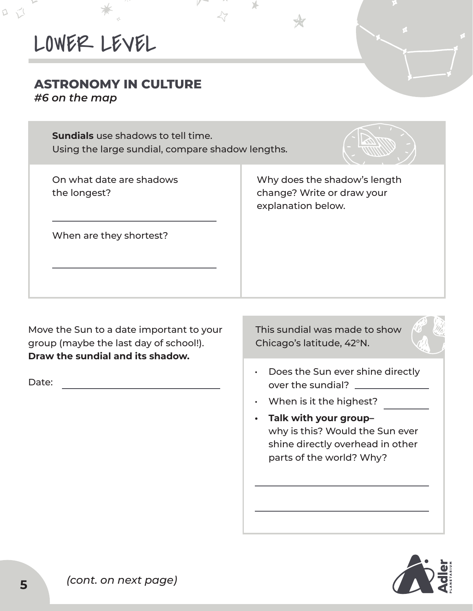### **ASTRONOMY IN CULTURE**

*#6 on the map*

Q

**Sundials** use shadows to tell time. Using the large sundial, compare shadow lengths.



| On what date are shadows<br>the longest? | Why does the shadow's length<br>change? Write or draw your<br>explanation below. |
|------------------------------------------|----------------------------------------------------------------------------------|
| When are they shortest?                  |                                                                                  |
|                                          |                                                                                  |

Move the Sun to a date important to your group (maybe the last day of school!). **Draw the sundial and its shadow.**

Date:

This sundial was made to show Chicago's latitude, 42°N.



- Does the Sun ever shine directly over the sundial?
- When is it the highest?
- **• Talk with your group–** why is this? Would the Sun ever shine directly overhead in other parts of the world? Why?